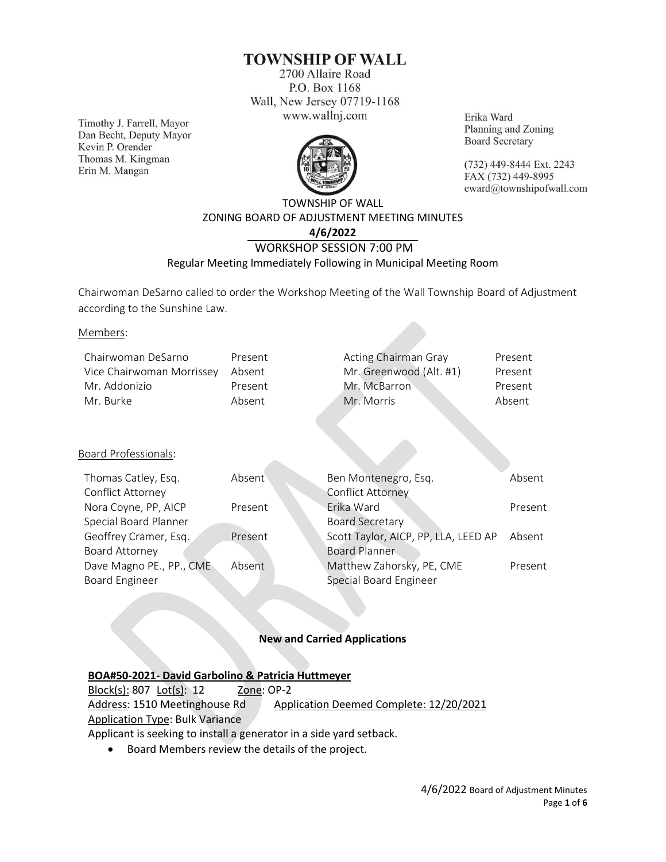# **TOWNSHIP OF WALL**

2700 Allaire Road P.O. Box 1168 Wall, New Jersey 07719-1168 www.wallnj.com

Timothy J. Farrell, Mayor Dan Becht, Deputy Mayor Kevin P. Orender Thomas M. Kingman Erin M. Mangan



Erika Ward Planning and Zoning **Board Secretary** 

(732) 449-8444 Ext. 2243 FAX (732) 449-8995 eward@townshipofwall.com

# TOWNSHIP OF WALL ZONING BOARD OF ADJUSTMENT MEETING MINUTES **4/6/2022** WORKSHOP SESSION 7:00 PM Regular Meeting Immediately Following in Municipal Meeting Room

Chairwoman DeSarno called to order the Workshop Meeting of the Wall Township Board of Adjustment according to the Sunshine Law.

Members:

| Present |              | Present                                         |
|---------|--------------|-------------------------------------------------|
| Absent  |              | Present                                         |
| Present | Mr. McBarron | Present                                         |
| Absent  | Mr. Morris   | Absent                                          |
|         |              | Acting Chairman Gray<br>Mr. Greenwood (Alt. #1) |

## Board Professionals:

| Thomas Catley, Esq.      | Absent  | Ben Montenegro, Esq.                 | Absent  |
|--------------------------|---------|--------------------------------------|---------|
| Conflict Attorney        |         | <b>Conflict Attorney</b>             |         |
| Nora Coyne, PP, AICP     | Present | Erika Ward                           | Present |
| Special Board Planner    |         | <b>Board Secretary</b>               |         |
| Geoffrey Cramer, Esq.    | Present | Scott Taylor, AICP, PP, LLA, LEED AP | Absent  |
| Board Attorney           |         | <b>Board Planner</b>                 |         |
| Dave Magno PE., PP., CME | Absent  | Matthew Zahorsky, PE, CME            | Present |
| <b>Board Engineer</b>    |         | Special Board Engineer               |         |
|                          |         |                                      |         |

## **New and Carried Applications**

## **BOA#50-2021- David Garbolino & Patricia Huttmeyer**

Block(s): 807 Lot(s): 12 Zone: OP-2 Address: 1510 Meetinghouse Rd Application Deemed Complete: 12/20/2021 Application Type: Bulk Variance Applicant is seeking to install a generator in a side yard setback.

• Board Members review the details of the project.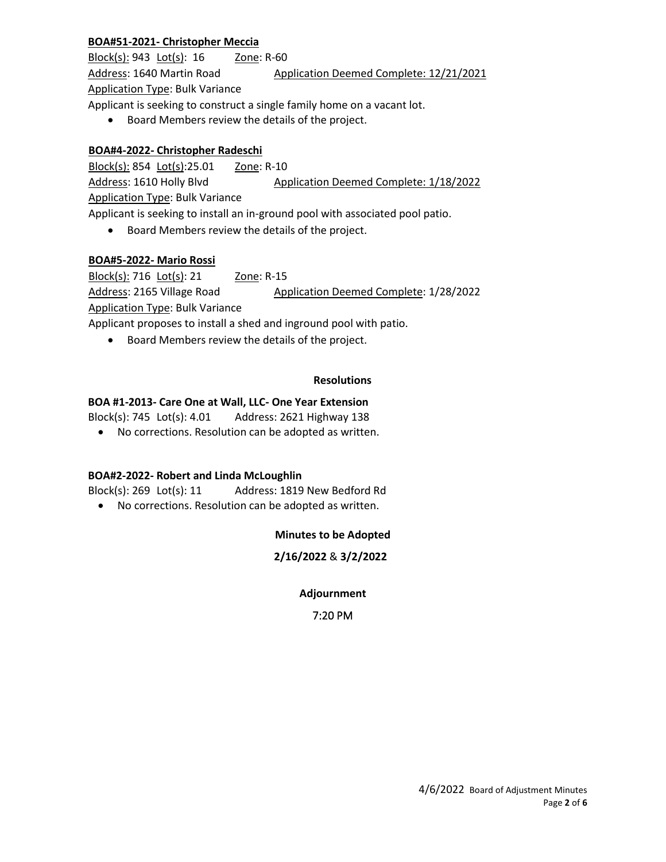# **BOA#51-2021- Christopher Meccia**

Block(s): 943 Lot(s): 16 Zone: R-60 Address: 1640 Martin Road Application Deemed Complete: 12/21/2021 Application Type: Bulk Variance Applicant is seeking to construct a single family home on a vacant lot.

• Board Members review the details of the project.

## **BOA#4-2022- Christopher Radeschi**

Block(s): 854 Lot(s):25.01 Zone: R-10 Address: 1610 Holly Blvd Application Deemed Complete: 1/18/2022 Application Type: Bulk Variance Applicant is seeking to install an in-ground pool with associated pool patio.

• Board Members review the details of the project.

## **BOA#5-2022- Mario Rossi**

Block(s): 716 Lot(s): 21 Zone: R-15 Address: 2165 Village Road Application Deemed Complete: 1/28/2022 Application Type: Bulk Variance Applicant proposes to install a shed and inground pool with patio.

• Board Members review the details of the project.

## **Resolutions**

# **BOA #1-2013- Care One at Wall, LLC- One Year Extension**

Block(s): 745 Lot(s): 4.01 Address: 2621 Highway 138

• No corrections. Resolution can be adopted as written.

## **BOA#2-2022- Robert and Linda McLoughlin**

Block(s): 269 Lot(s): 11 Address: 1819 New Bedford Rd

• No corrections. Resolution can be adopted as written.

# **Minutes to be Adopted**

# **2/16/2022** & **3/2/2022**

## **Adjournment**

## 7:20 PM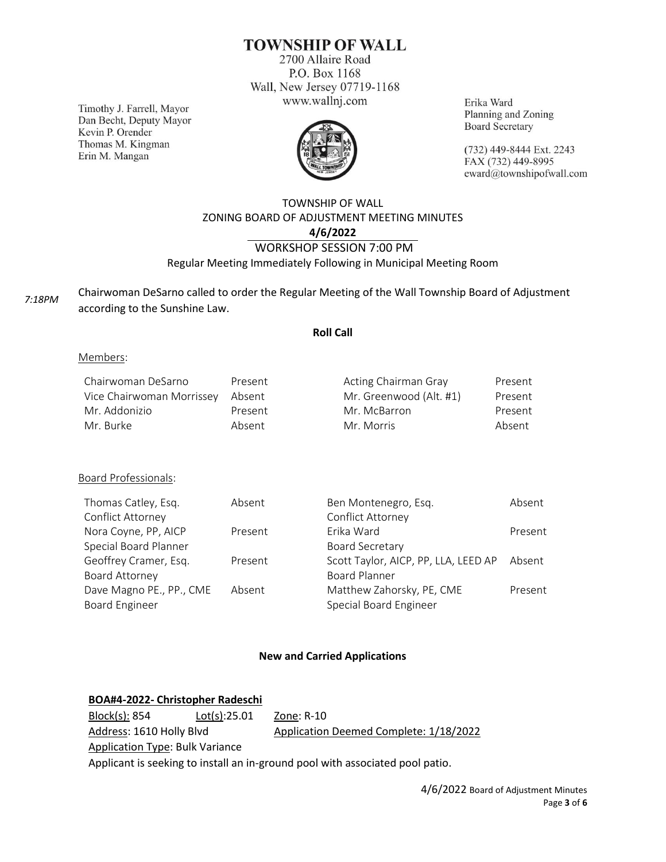# **TOWNSHIP OF WALL**

2700 Allaire Road P.O. Box 1168 Wall, New Jersey 07719-1168 www.wallnj.com

Timothy J. Farrell, Mayor Dan Becht, Deputy Mayor Kevin P. Orender Thomas M. Kingman Erin M. Mangan



Erika Ward Planning and Zoning **Board Secretary** 

(732) 449-8444 Ext. 2243 FAX (732) 449-8995 eward@townshipofwall.com

# TOWNSHIP OF WALL ZONING BOARD OF ADJUSTMENT MEETING MINUTES **4/6/2022** WORKSHOP SESSION 7:00 PM Regular Meeting Immediately Following in Municipal Meeting Room

*7:18PM*

Chairwoman DeSarno called to order the Regular Meeting of the Wall Township Board of Adjustment according to the Sunshine Law.

## **Roll Call**

#### Members:

| Chairwoman DeSarno        | Present | Acting Chairman Gray    | Present |
|---------------------------|---------|-------------------------|---------|
| Vice Chairwoman Morrissey | Absent  | Mr. Greenwood (Alt. #1) | Present |
| Mr. Addonizio             | Present | Mr. McBarron            | Present |
| Mr. Burke                 | Absent  | Mr. Morris              | Absent  |

## Board Professionals:

| Thomas Catley, Esq.      | Absent  | Ben Montenegro, Esq.                 | Absent  |
|--------------------------|---------|--------------------------------------|---------|
| Conflict Attorney        |         | Conflict Attorney                    |         |
| Nora Coyne, PP, AICP     | Present | Frika Ward                           | Present |
| Special Board Planner    |         | <b>Board Secretary</b>               |         |
| Geoffrey Cramer, Esq.    | Present | Scott Taylor, AICP, PP, LLA, LEED AP | Absent  |
| Board Attorney           |         | <b>Board Planner</b>                 |         |
| Dave Magno PE., PP., CME | Absent  | Matthew Zahorsky, PE, CME            | Present |
| <b>Board Engineer</b>    |         | Special Board Engineer               |         |

## **New and Carried Applications**

# **BOA#4-2022- Christopher Radeschi**

| Block(s): 854                          | Lot(s):25.01 | Zone: R-10                                                                    |
|----------------------------------------|--------------|-------------------------------------------------------------------------------|
| Address: 1610 Holly Blvd               |              | Application Deemed Complete: 1/18/2022                                        |
| <b>Application Type: Bulk Variance</b> |              |                                                                               |
|                                        |              | Applicant is seeking to install an in-ground pool with associated pool patio. |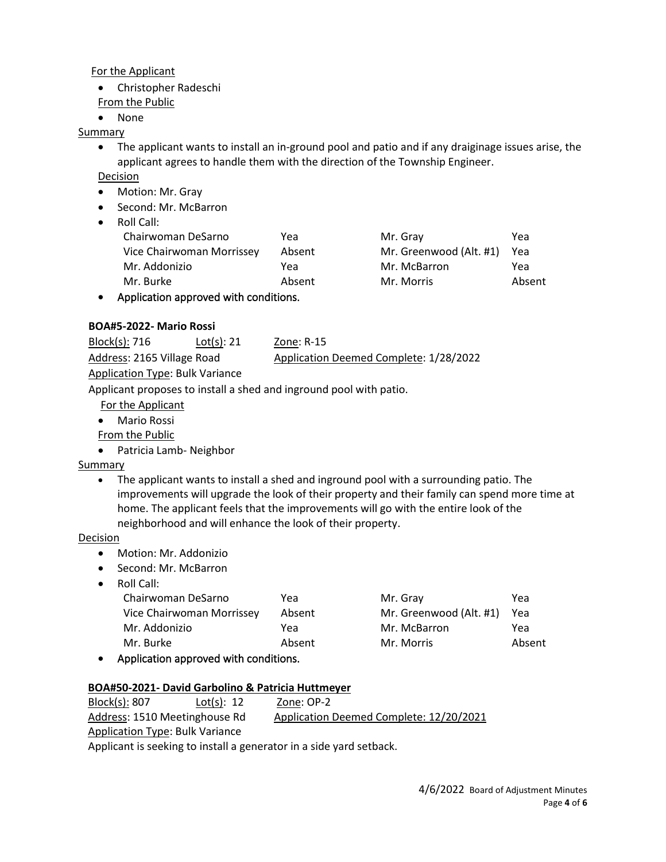## For the Applicant

- Christopher Radeschi
- From the Public
- None

# Summary

- The applicant wants to install an in-ground pool and patio and if any draiginage issues arise, the applicant agrees to handle them with the direction of the Township Engineer.
- Decision
- Motion: Mr. Gray
- Second: Mr. McBarron
- Roll Call:

| non can.                             |        |                         |        |
|--------------------------------------|--------|-------------------------|--------|
| Chairwoman DeSarno                   | Yea    | Mr. Gray                | Yea    |
| Vice Chairwoman Morrissey            | Absent | Mr. Greenwood (Alt. #1) | Yea    |
| Mr. Addonizio                        | Yea    | Mr. McBarron            | Yea    |
| Mr. Burke                            | Absent | Mr. Morris              | Absent |
| Application approved with conditions |        |                         |        |

• Application approved with conditions.

# **BOA#5-2022- Mario Rossi**

Block(s): 716 Lot(s): 21 Zone: R-15 Address: 2165 Village Road Application Deemed Complete: 1/28/2022 Application Type: Bulk Variance

Applicant proposes to install a shed and inground pool with patio.

- For the Applicant
- Mario Rossi

From the Public

• Patricia Lamb- Neighbor

# Summary

• The applicant wants to install a shed and inground pool with a surrounding patio. The improvements will upgrade the look of their property and their family can spend more time at home. The applicant feels that the improvements will go with the entire look of the neighborhood and will enhance the look of their property.

# Decision

- Motion: Mr. Addonizio
- Second: Mr. McBarron
- Roll Call:

| Chairwoman DeSarno        | Yea    | Mr. Gray                | Yea    |
|---------------------------|--------|-------------------------|--------|
| Vice Chairwoman Morrissey | Absent | Mr. Greenwood (Alt. #1) | Yea    |
| Mr. Addonizio             | Yea    | Mr. McBarron            | Yea    |
| Mr. Burke                 | Absent | Mr. Morris              | Absent |
|                           |        |                         |        |

• Application approved with conditions.

# **BOA#50-2021- David Garbolino & Patricia Huttmeyer**

Block(s): 807 Lot(s): 12 Zone: OP-2 Address: 1510 Meetinghouse Rd Application Deemed Complete: 12/20/2021 Application Type: Bulk Variance Applicant is seeking to install a generator in a side yard setback.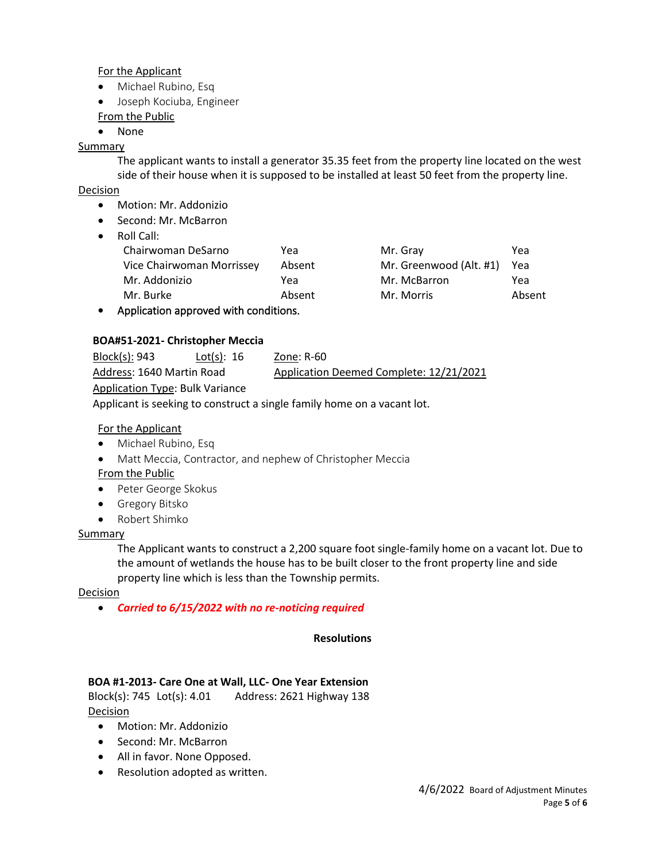## For the Applicant

- Michael Rubino, Esq
- Joseph Kociuba, Engineer

From the Public

• None

# Summary

The applicant wants to install a generator 35.35 feet from the property line located on the west side of their house when it is supposed to be installed at least 50 feet from the property line.

# Decision

- Motion: Mr. Addonizio
- Second: Mr. McBarron
- Roll Call:

| Chairwoman DeSarno        | Yea      | Mr. Gray                | Yea    |
|---------------------------|----------|-------------------------|--------|
| Vice Chairwoman Morrissey | Absent   | Mr. Greenwood (Alt. #1) | Yea    |
| Mr. Addonizio             | Yea      | Mr. McBarron            | Yea    |
| Mr. Burke                 | Absent   | Mr. Morris              | Absent |
| .<br>.                    | $\cdots$ |                         |        |

• Application approved with conditions.

# **BOA#51-2021- Christopher Meccia**

| Block(s): 943                          | Lot(s): $16$ | Zone: R-60                              |
|----------------------------------------|--------------|-----------------------------------------|
| Address: 1640 Martin Road              |              | Application Deemed Complete: 12/21/2021 |
| <b>Application Type: Bulk Variance</b> |              |                                         |

Applicant is seeking to construct a single family home on a vacant lot.

## For the Applicant

- Michael Rubino, Esq
- Matt Meccia, Contractor, and nephew of Christopher Meccia From the Public
- Peter George Skokus
- Gregory Bitsko
- Robert Shimko

## Summary

The Applicant wants to construct a 2,200 square foot single-family home on a vacant lot. Due to the amount of wetlands the house has to be built closer to the front property line and side property line which is less than the Township permits.

## **Decision**

• *Carried to 6/15/2022 with no re-noticing required*

## **Resolutions**

# **BOA #1-2013- Care One at Wall, LLC- One Year Extension**

Block(s): 745 Lot(s): 4.01 Address: 2621 Highway 138 **Decision** 

- Motion: Mr. Addonizio
- Second: Mr. McBarron
- All in favor. None Opposed.
- Resolution adopted as written.